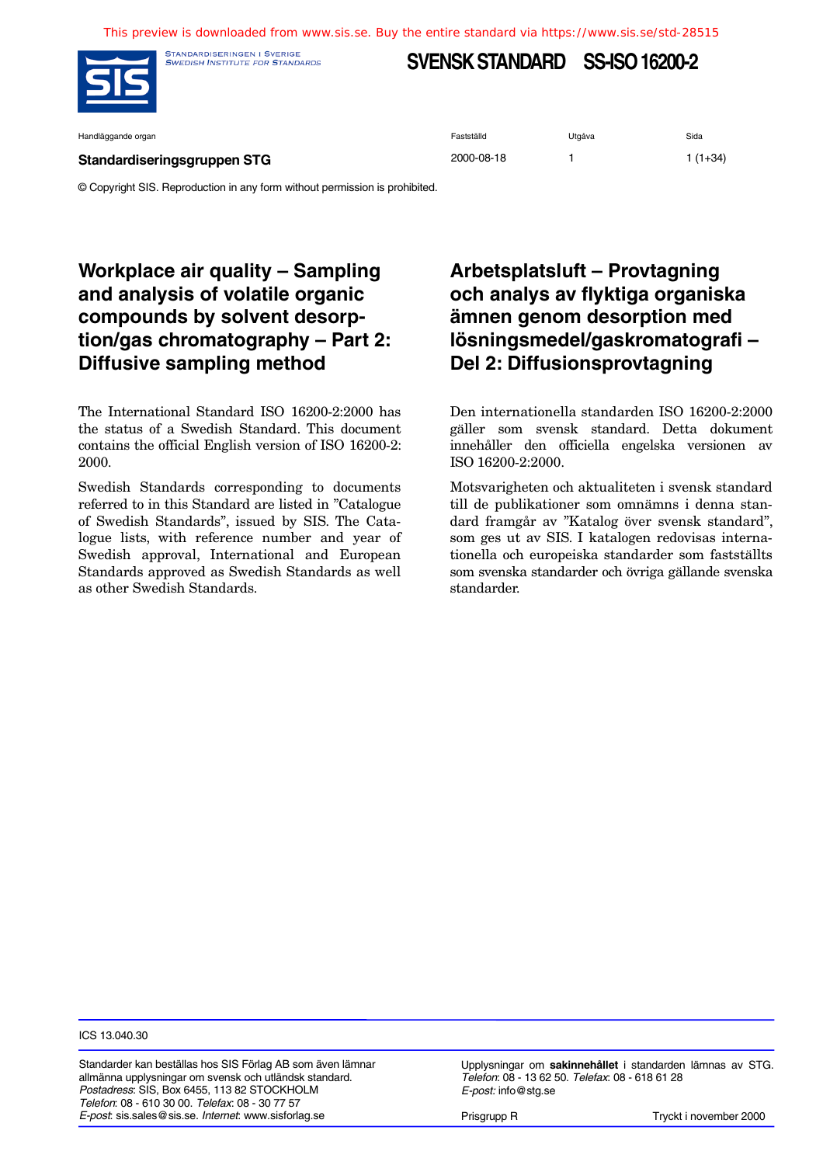This preview is downloaded from www.sis.se. Buy the entire standard via https://www.sis.se/std-28515

**STANDARDISERINGEN I SVERIGE**<br>SWEDISH INSTITUTE FOR STANDARDS

# **SVENSK STANDARD SS-ISO 16200-2**

Handläggande organ Fastställd Utgåva Sida

## **Standardiseringsgruppen STG** 2000-08-18 1 1 1 1+34)

© Copyright SIS. Reproduction in any form without permission is prohibited.

## **Workplace air quality – Sampling and analysis of volatile organic compounds by solvent desorption/gas chromatography – Part 2: Diffusive sampling method**

The International Standard ISO 16200-2:2000 has the status of a Swedish Standard. This document contains the official English version of ISO 16200-2: 2000.

Swedish Standards corresponding to documents referred to in this Standard are listed in "Catalogue of Swedish Standards", issued by SIS. The Catalogue lists, with reference number and year of Swedish approval, International and European Standards approved as Swedish Standards as well as other Swedish Standards.

## **Arbetsplatsluft – Provtagning och analys av flyktiga organiska ämnen genom desorption med lösningsmedel/gaskromatografi – Del 2: Diffusionsprovtagning**

Den internationella standarden ISO 16200-2:2000 gäller som svensk standard. Detta dokument innehåller den officiella engelska versionen av ISO 16200-2:2000.

Motsvarigheten och aktualiteten i svensk standard till de publikationer som omnämns i denna standard framgår av "Katalog över svensk standard", som ges ut av SIS. I katalogen redovisas internationella och europeiska standarder som fastställts som svenska standarder och övriga gällande svenska standarder.

ICS 13.040.30

Standarder kan beställas hos SIS Förlag AB som även lämnar allmänna upplysningar om svensk och utländsk standard. *Postadress*: SIS, Box 6455, 113 82 STOCKHOLM *Telefon*: 08 - 610 30 00. *Telefax*: 08 - 30 77 57 *E-post*: sis.sales@sis.se. *Internet*: www.sisforlag.se

Upplysningar om **sakinnehållet** i standarden lämnas av STG. *Telefon*: 08 - 13 62 50. *Telefax*: 08 - 618 61 28 *E-post:* info@stg.se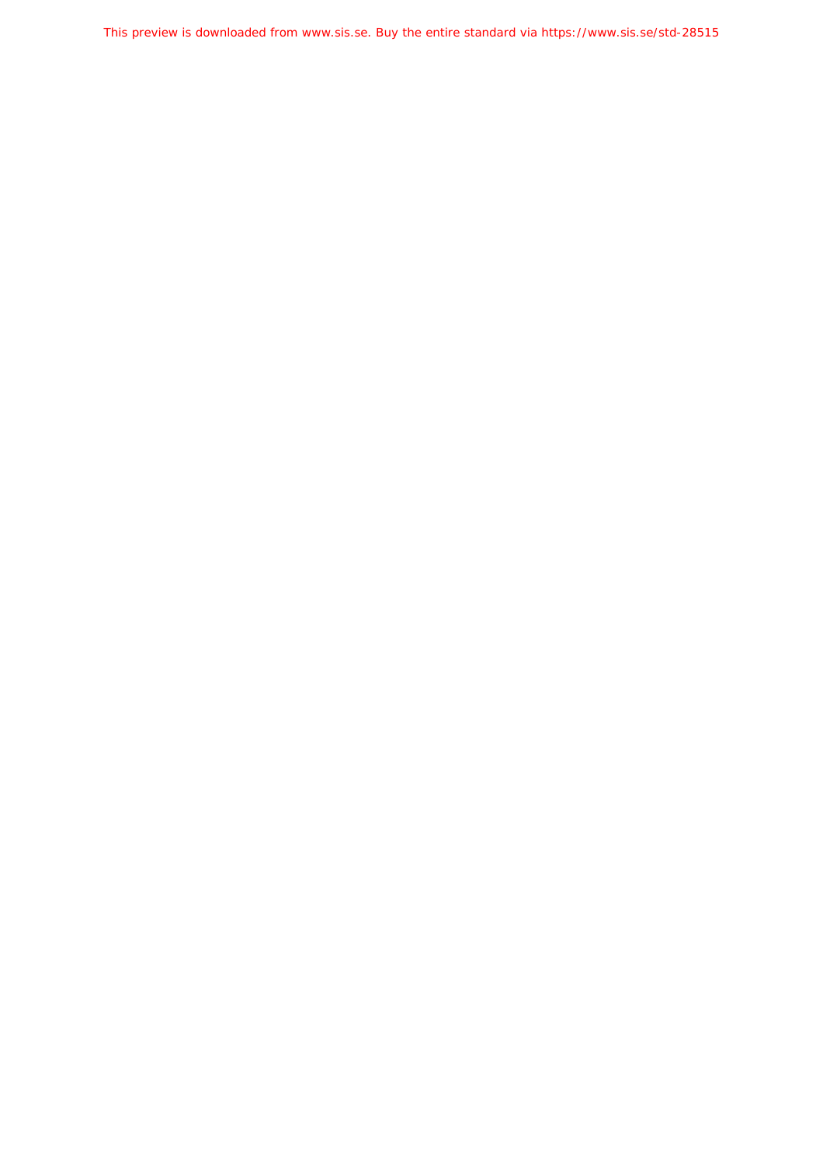This preview is downloaded from www.sis.se. Buy the entire standard via https://www.sis.se/std-28515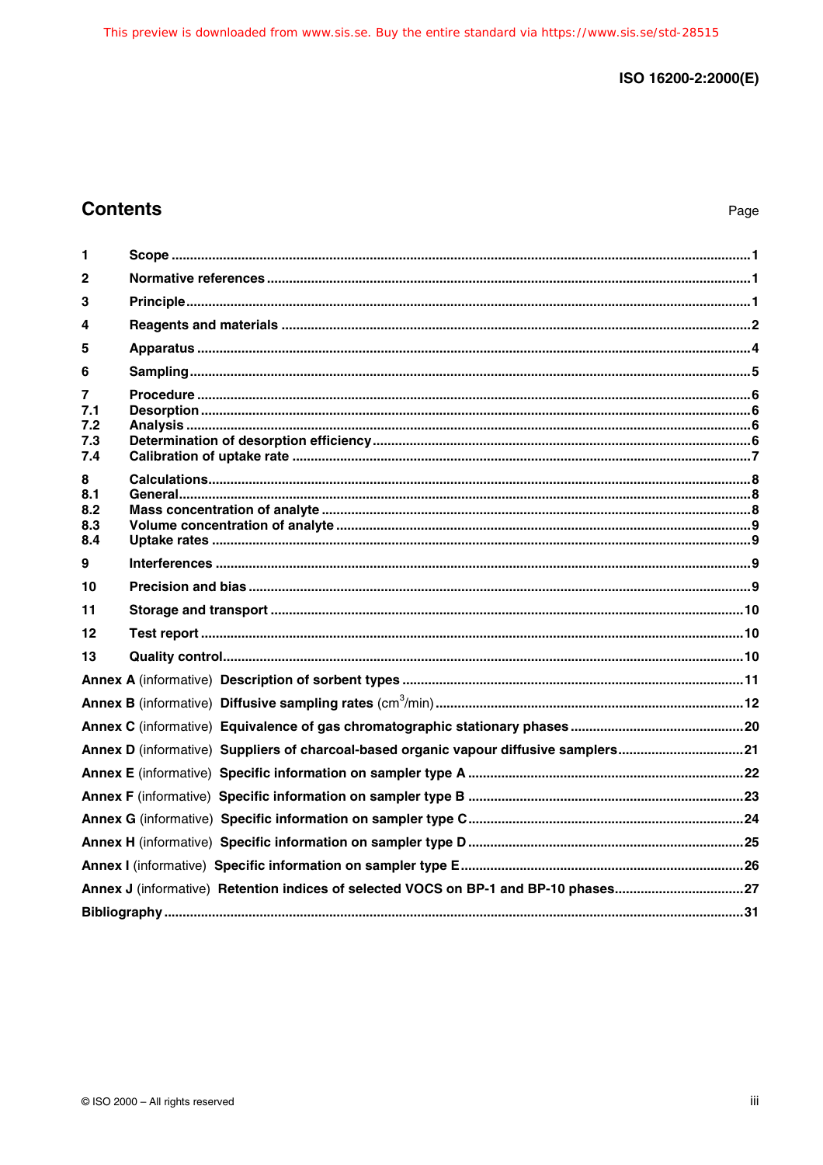## **Contents**

| $\blacksquare$ |                                                                                       |  |
|----------------|---------------------------------------------------------------------------------------|--|
| $\mathbf{2}$   |                                                                                       |  |
| 3              |                                                                                       |  |
| 4              |                                                                                       |  |
| 5              |                                                                                       |  |
| 6              |                                                                                       |  |
| 7              |                                                                                       |  |
| 7.1<br>7.2     |                                                                                       |  |
| 7.3            |                                                                                       |  |
| 7.4            |                                                                                       |  |
| 8<br>8.1       |                                                                                       |  |
| 8.2            |                                                                                       |  |
| 8.3<br>8.4     |                                                                                       |  |
| 9              |                                                                                       |  |
| 10             |                                                                                       |  |
|                |                                                                                       |  |
| 11<br>$12 \,$  |                                                                                       |  |
| 13             |                                                                                       |  |
|                |                                                                                       |  |
|                |                                                                                       |  |
|                |                                                                                       |  |
|                |                                                                                       |  |
|                | Annex D (informative) Suppliers of charcoal-based organic vapour diffusive samplers21 |  |
|                |                                                                                       |  |
|                |                                                                                       |  |
|                |                                                                                       |  |
|                |                                                                                       |  |
|                |                                                                                       |  |
|                | Annex J (informative) Retention indices of selected VOCS on BP-1 and BP-10 phases27   |  |
|                |                                                                                       |  |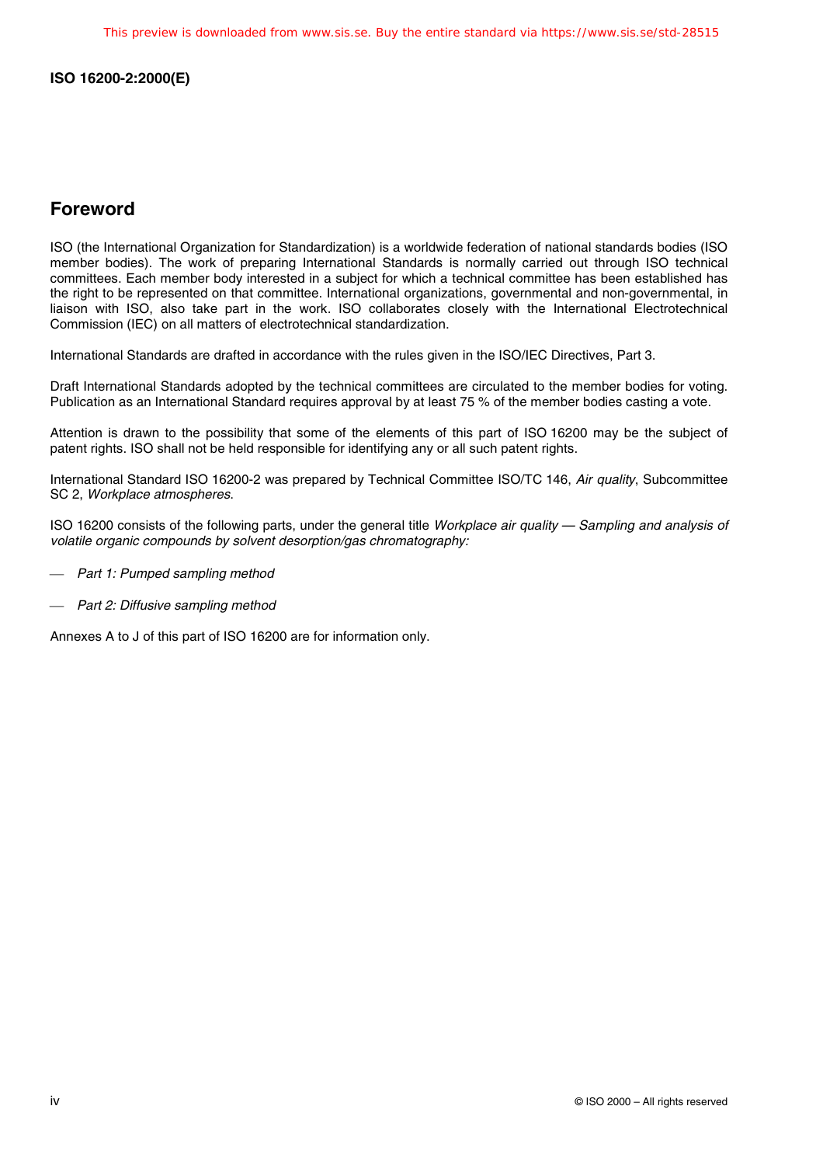## **Foreword**

ISO (the International Organization for Standardization) is a worldwide federation of national standards bodies (ISO member bodies). The work of preparing International Standards is normally carried out through ISO technical committees. Each member body interested in a subject for which a technical committee has been established has the right to be represented on that committee. International organizations, governmental and non-governmental, in liaison with ISO, also take part in the work. ISO collaborates closely with the International Electrotechnical Commission (IEC) on all matters of electrotechnical standardization.

International Standards are drafted in accordance with the rules given in the ISO/IEC Directives, Part 3.

Draft International Standards adopted by the technical committees are circulated to the member bodies for voting. Publication as an International Standard requires approval by at least 75 % of the member bodies casting a vote.

Attention is drawn to the possibility that some of the elements of this part of ISO 16200 may be the subject of patent rights. ISO shall not be held responsible for identifying any or all such patent rights.

International Standard ISO 16200-2 was prepared by Technical Committee ISO/TC 146, Air quality, Subcommittee SC 2, Workplace atmospheres.

ISO 16200 consists of the following parts, under the general title Workplace air quality — Sampling and analysis of volatile organic compounds by solvent desorption/gas chromatography:

- Part 1: Pumped sampling method
- Part 2: Diffusive sampling method

Annexes A to J of this part of ISO 16200 are for information only.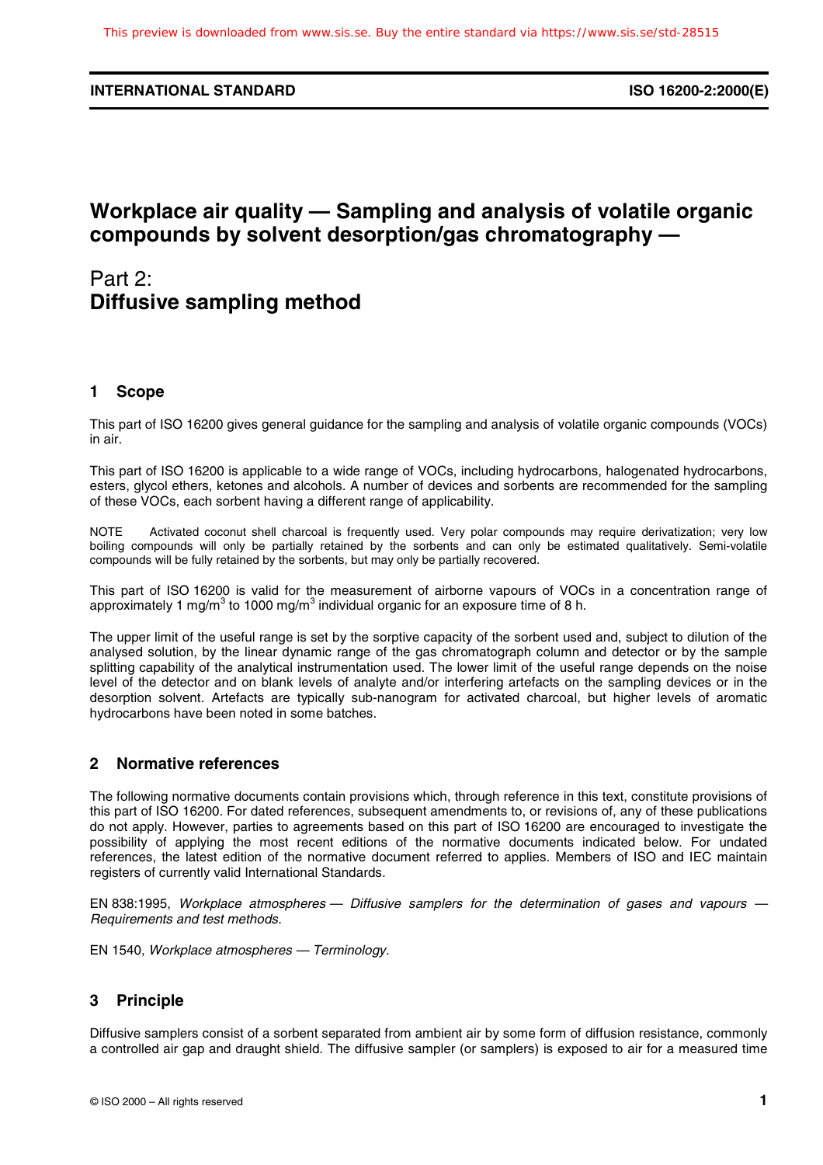## **INTERNATIONAL STANDARD ISO 16200-2:2000(E)**

## **Workplace air quality — Sampling and analysis of volatile organic compounds by solvent desorption/gas chromatography —**

## Part 2: **Diffusive sampling method**

## **1 Scope**

This part of ISO 16200 gives general guidance for the sampling and analysis of volatile organic compounds (VOCs) in air.

This part of ISO 16200 is applicable to a wide range of VOCs, including hydrocarbons, halogenated hydrocarbons, esters, glycol ethers, ketones and alcohols. A number of devices and sorbents are recommended for the sampling of these VOCs, each sorbent having a different range of applicability.

NOTE Activated coconut shell charcoal is frequently used. Very polar compounds may require derivatization; very low boiling compounds will only be partially retained by the sorbents and can only be estimated qualitatively. Semi-volatile compounds will be fully retained by the sorbents, but may only be partially recovered.

This part of ISO 16200 is valid for the measurement of airborne vapours of VOCs in a concentration range of approximately 1 mg/m<sup>3</sup> to 1000 mg/m<sup>3</sup> individual organic for an exposure time of 8 h.

The upper limit of the useful range is set by the sorptive capacity of the sorbent used and, subject to dilution of the analysed solution, by the linear dynamic range of the gas chromatograph column and detector or by the sample splitting capability of the analytical instrumentation used. The lower limit of the useful range depends on the noise level of the detector and on blank levels of analyte and/or interfering artefacts on the sampling devices or in the desorption solvent. Artefacts are typically sub-nanogram for activated charcoal, but higher levels of aromatic hydrocarbons have been noted in some batches.

## **2 Normative references**

The following normative documents contain provisions which, through reference in this text, constitute provisions of this part of ISO 16200. For dated references, subsequent amendments to, or revisions of, any of these publications do not apply. However, parties to agreements based on this part of ISO 16200 are encouraged to investigate the possibility of applying the most recent editions of the normative documents indicated below. For undated references, the latest edition of the normative document referred to applies. Members of ISO and IEC maintain registers of currently valid International Standards.

EN 838:1995, Workplace atmospheres — Diffusive samplers for the determination of gases and vapours — Requirements and test methods.

EN 1540, Workplace atmospheres — Terminology.

## **3 Principle**

Diffusive samplers consist of a sorbent separated from ambient air by some form of diffusion resistance, commonly a controlled air gap and draught shield. The diffusive sampler (or samplers) is exposed to air for a measured time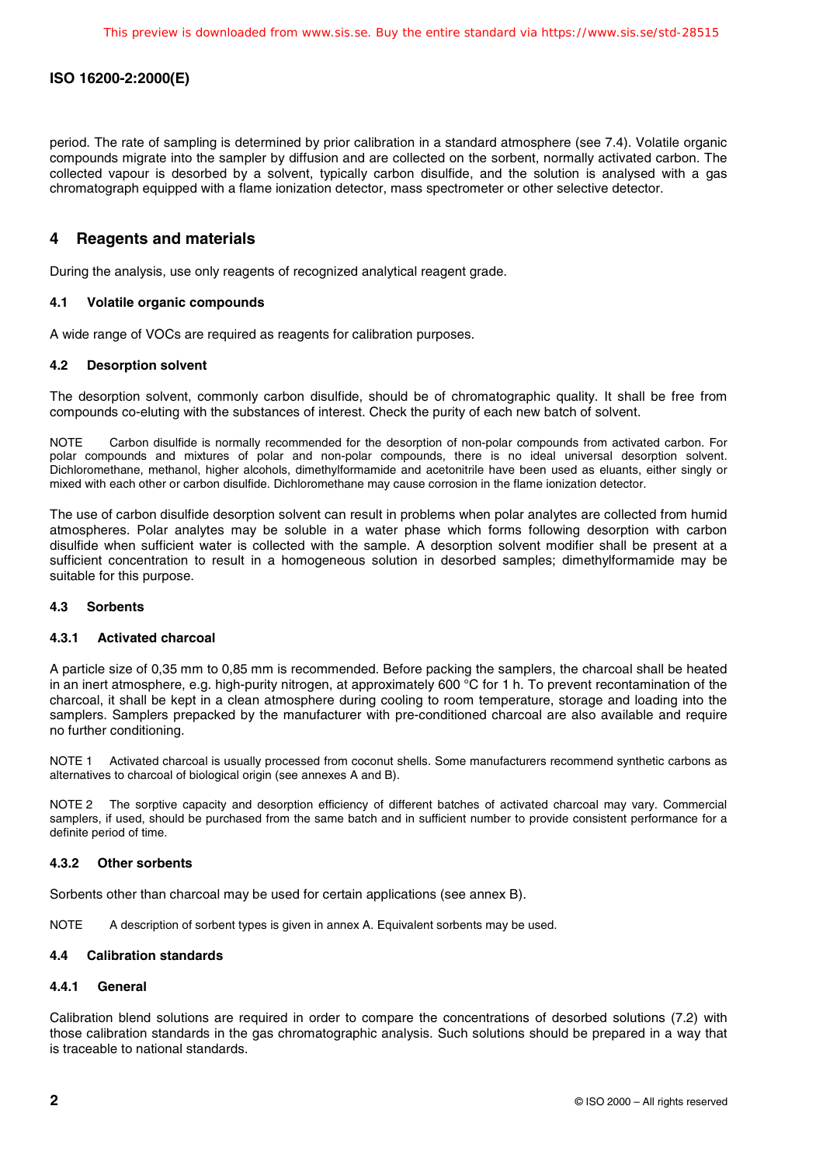period. The rate of sampling is determined by prior calibration in a standard atmosphere (see 7.4). Volatile organic compounds migrate into the sampler by diffusion and are collected on the sorbent, normally activated carbon. The collected vapour is desorbed by a solvent, typically carbon disulfide, and the solution is analysed with a gas chromatograph equipped with a flame ionization detector, mass spectrometer or other selective detector.

## **4 Reagents and materials**

During the analysis, use only reagents of recognized analytical reagent grade.

#### **4.1 Volatile organic compounds**

A wide range of VOCs are required as reagents for calibration purposes.

#### **4.2 Desorption solvent**

The desorption solvent, commonly carbon disulfide, should be of chromatographic quality. It shall be free from compounds co-eluting with the substances of interest. Check the purity of each new batch of solvent.

NOTE Carbon disulfide is normally recommended for the desorption of non-polar compounds from activated carbon. For polar compounds and mixtures of polar and non-polar compounds, there is no ideal universal desorption solvent. Dichloromethane, methanol, higher alcohols, dimethylformamide and acetonitrile have been used as eluants, either singly or mixed with each other or carbon disulfide. Dichloromethane may cause corrosion in the flame ionization detector.

The use of carbon disulfide desorption solvent can result in problems when polar analytes are collected from humid atmospheres. Polar analytes may be soluble in a water phase which forms following desorption with carbon disulfide when sufficient water is collected with the sample. A desorption solvent modifier shall be present at a sufficient concentration to result in a homogeneous solution in desorbed samples; dimethylformamide may be suitable for this purpose.

#### **4.3 Sorbents**

#### **4.3.1 Activated charcoal**

A particle size of 0,35 mm to 0,85 mm is recommended. Before packing the samplers, the charcoal shall be heated in an inert atmosphere, e.g. high-purity nitrogen, at approximately 600 °C for 1 h. To prevent recontamination of the charcoal, it shall be kept in a clean atmosphere during cooling to room temperature, storage and loading into the samplers. Samplers prepacked by the manufacturer with pre-conditioned charcoal are also available and require no further conditioning.

NOTE 1 Activated charcoal is usually processed from coconut shells. Some manufacturers recommend synthetic carbons as alternatives to charcoal of biological origin (see annexes A and B).

NOTE 2 The sorptive capacity and desorption efficiency of different batches of activated charcoal may vary. Commercial samplers, if used, should be purchased from the same batch and in sufficient number to provide consistent performance for a definite period of time.

#### **4.3.2 Other sorbents**

Sorbents other than charcoal may be used for certain applications (see annex B).

NOTE A description of sorbent types is given in annex A. Equivalent sorbents may be used.

#### **4.4 Calibration standards**

#### **4.4.1 General**

Calibration blend solutions are required in order to compare the concentrations of desorbed solutions (7.2) with those calibration standards in the gas chromatographic analysis. Such solutions should be prepared in a way that is traceable to national standards.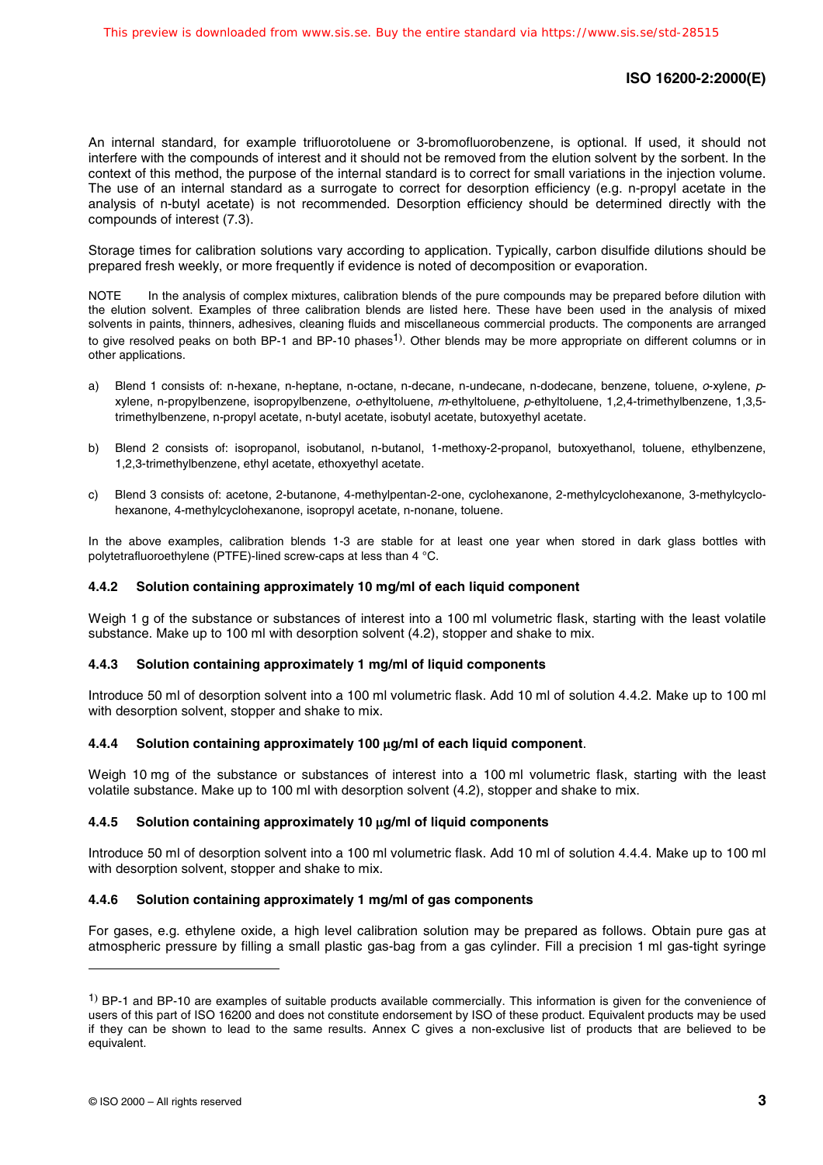An internal standard, for example trifluorotoluene or 3-bromofluorobenzene, is optional. If used, it should not interfere with the compounds of interest and it should not be removed from the elution solvent by the sorbent. In the context of this method, the purpose of the internal standard is to correct for small variations in the injection volume. The use of an internal standard as a surrogate to correct for desorption efficiency (e.g. n-propyl acetate in the analysis of n-butyl acetate) is not recommended. Desorption efficiency should be determined directly with the compounds of interest (7.3).

Storage times for calibration solutions vary according to application. Typically, carbon disulfide dilutions should be prepared fresh weekly, or more frequently if evidence is noted of decomposition or evaporation.

NOTE In the analysis of complex mixtures, calibration blends of the pure compounds may be prepared before dilution with the elution solvent. Examples of three calibration blends are listed here. These have been used in the analysis of mixed solvents in paints, thinners, adhesives, cleaning fluids and miscellaneous commercial products. The components are arranged to give resolved peaks on both BP-1 and BP-10 phases<sup>1)</sup>. Other blends may be more appropriate on different columns or in other applications.

- a) Blend 1 consists of: n-hexane, n-heptane, n-octane, n-decane, n-undecane, n-dodecane, benzene, toluene, o-xylene, pxylene, n-propylbenzene, isopropylbenzene, o-ethyltoluene, <sup>m</sup>-ethyltoluene, p-ethyltoluene, 1,2,4-trimethylbenzene, 1,3,5 trimethylbenzene, n-propyl acetate, n-butyl acetate, isobutyl acetate, butoxyethyl acetate.
- b) Blend 2 consists of: isopropanol, isobutanol, n-butanol, 1-methoxy-2-propanol, butoxyethanol, toluene, ethylbenzene, 1,2,3-trimethylbenzene, ethyl acetate, ethoxyethyl acetate.
- c) Blend 3 consists of: acetone, 2-butanone, 4-methylpentan-2-one, cyclohexanone, 2-methylcyclohexanone, 3-methylcyclohexanone, 4-methylcyclohexanone, isopropyl acetate, n-nonane, toluene.

In the above examples, calibration blends 1-3 are stable for at least one year when stored in dark glass bottles with polytetrafluoroethylene (PTFE)-lined screw-caps at less than 4 °C.

#### **4.4.2 Solution containing approximately 10 mg/ml of each liquid component**

Weigh 1 g of the substance or substances of interest into a 100 ml volumetric flask, starting with the least volatile substance. Make up to 100 ml with desorption solvent (4.2), stopper and shake to mix.

#### **4.4.3 Solution containing approximately 1 mg/ml of liquid components**

Introduce 50 ml of desorption solvent into a 100 ml volumetric flask. Add 10 ml of solution 4.4.2. Make up to 100 ml with desorption solvent, stopper and shake to mix.

#### **4.4.4 Solution containing approximately 100 g/ml of each liquid component**.

Weigh 10 mg of the substance or substances of interest into a 100 ml volumetric flask, starting with the least volatile substance. Make up to 100 ml with desorption solvent (4.2), stopper and shake to mix.

#### **4.4.5 Solution containing approximately 10 g/ml of liquid components**

Introduce 50 ml of desorption solvent into a 100 ml volumetric flask. Add 10 ml of solution 4.4.4. Make up to 100 ml with desorption solvent, stopper and shake to mix.

#### **4.4.6 Solution containing approximately 1 mg/ml of gas components**

For gases, e.g. ethylene oxide, a high level calibration solution may be prepared as follows. Obtain pure gas at atmospheric pressure by filling a small plastic gas-bag from a gas cylinder. Fill a precision 1 ml gas-tight syringe

<sup>&</sup>lt;sup>1)</sup> BP-1 and BP-10 are examples of suitable products available commercially. This information is given for the convenience of users of this part of ISO 16200 and does not constitute endorsement by ISO of these product. Equivalent products may be used if they can be shown to lead to the same results. Annex C gives a non-exclusive list of products that are believed to be equivalent.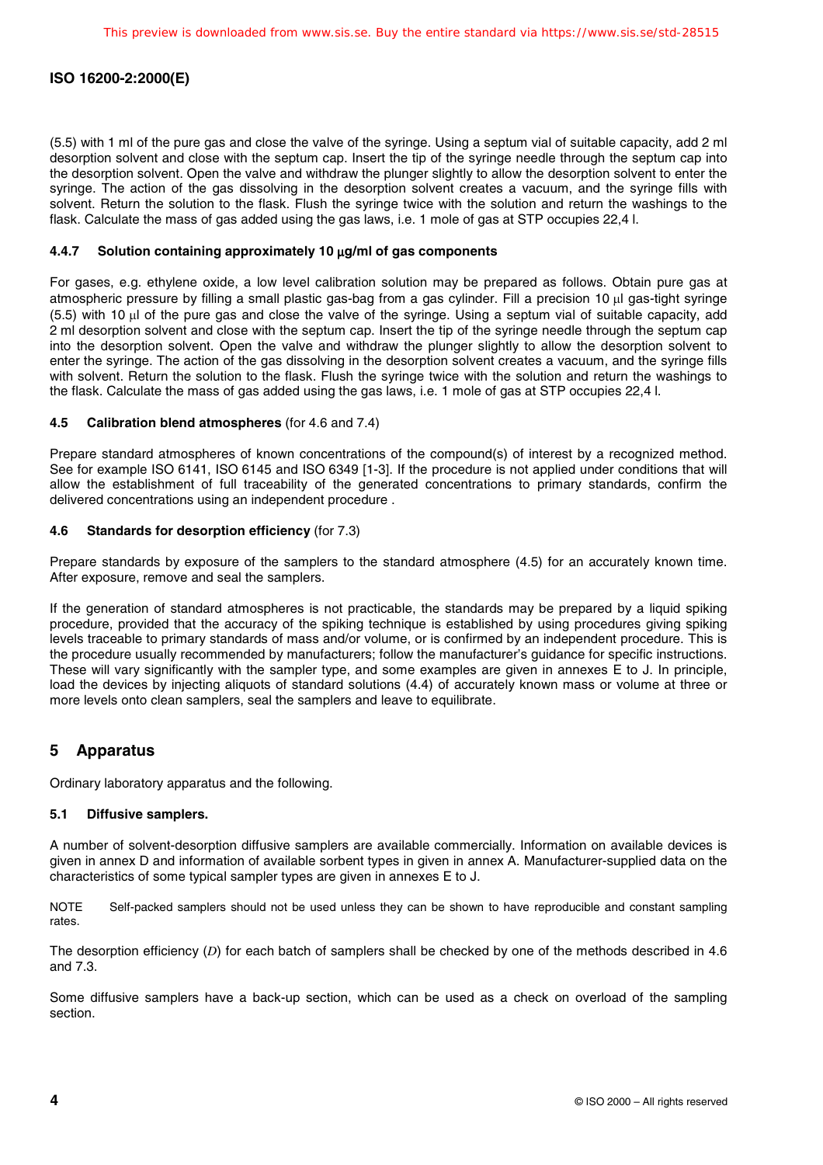(5.5) with 1 ml of the pure gas and close the valve of the syringe. Using a septum vial of suitable capacity, add 2 ml desorption solvent and close with the septum cap. Insert the tip of the syringe needle through the septum cap into the desorption solvent. Open the valve and withdraw the plunger slightly to allow the desorption solvent to enter the syringe. The action of the gas dissolving in the desorption solvent creates a vacuum, and the syringe fills with solvent. Return the solution to the flask. Flush the syringe twice with the solution and return the washings to the flask. Calculate the mass of gas added using the gas laws, i.e. 1 mole of gas at STP occupies 22,4 l.

#### **4.4.7** Solution containing approximately 10  $\mu$ g/ml of gas components

For gases, e.g. ethylene oxide, a low level calibration solution may be prepared as follows. Obtain pure gas at atmospheric pressure by filling a small plastic gas-bag from a gas cylinder. Fill a precision 10  $\mu$ l gas-tight syringe  $(5.5)$  with 10 ul of the pure gas and close the valve of the syringe. Using a septum vial of suitable capacity, add 2 ml desorption solvent and close with the septum cap. Insert the tip of the syringe needle through the septum cap into the desorption solvent. Open the valve and withdraw the plunger slightly to allow the desorption solvent to enter the syringe. The action of the gas dissolving in the desorption solvent creates a vacuum, and the syringe fills with solvent. Return the solution to the flask. Flush the syringe twice with the solution and return the washings to the flask. Calculate the mass of gas added using the gas laws, i.e. 1 mole of gas at STP occupies 22,4 l.

#### **4.5 Calibration blend atmospheres** (for 4.6 and 7.4)

Prepare standard atmospheres of known concentrations of the compound(s) of interest by a recognized method. See for example ISO 6141, ISO 6145 and ISO 6349 [1-3]. If the procedure is not applied under conditions that will allow the establishment of full traceability of the generated concentrations to primary standards, confirm the delivered concentrations using an independent procedure .

#### **4.6 Standards for desorption efficiency** (for 7.3)

Prepare standards by exposure of the samplers to the standard atmosphere (4.5) for an accurately known time. After exposure, remove and seal the samplers.

If the generation of standard atmospheres is not practicable, the standards may be prepared by a liquid spiking procedure, provided that the accuracy of the spiking technique is established by using procedures giving spiking levels traceable to primary standards of mass and/or volume, or is confirmed by an independent procedure. This is the procedure usually recommended by manufacturers; follow the manufacturer's guidance for specific instructions. These will vary significantly with the sampler type, and some examples are given in annexes E to J. In principle, load the devices by injecting aliquots of standard solutions (4.4) of accurately known mass or volume at three or more levels onto clean samplers, seal the samplers and leave to equilibrate.

## **5 Apparatus**

Ordinary laboratory apparatus and the following.

#### **5.1 Diffusive samplers.**

A number of solvent-desorption diffusive samplers are available commercially. Information on available devices is given in annex D and information of available sorbent types in given in annex A. Manufacturer-supplied data on the characteristics of some typical sampler types are given in annexes E to J.

NOTE Self-packed samplers should not be used unless they can be shown to have reproducible and constant sampling rates.

The desorption efficiency (*D*) for each batch of samplers shall be checked by one of the methods described in 4.6 and 7.3.

Some diffusive samplers have a back-up section, which can be used as a check on overload of the sampling section.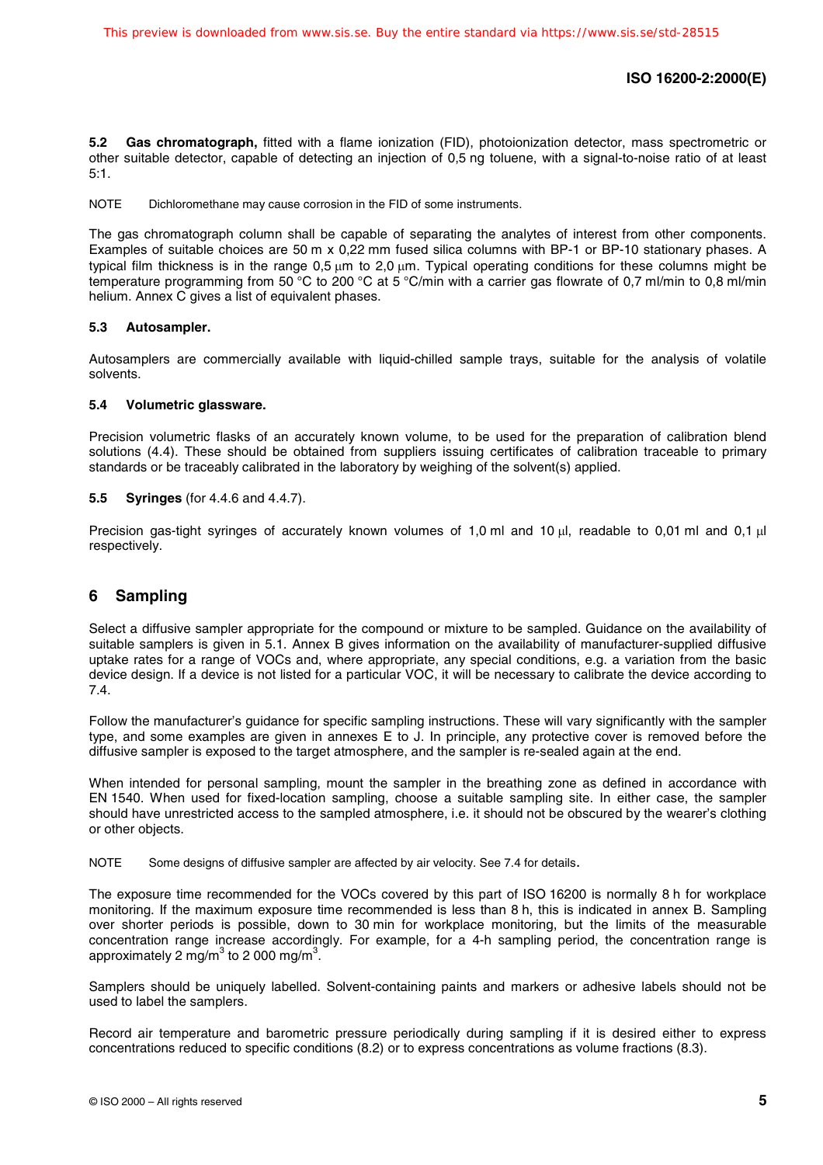**5.2 Gas chromatograph,** fitted with a flame ionization (FID), photoionization detector, mass spectrometric or other suitable detector, capable of detecting an injection of 0,5 ng toluene, with a signal-to-noise ratio of at least 5:1.

NOTE Dichloromethane may cause corrosion in the FID of some instruments.

The gas chromatograph column shall be capable of separating the analytes of interest from other components. Examples of suitable choices are 50 m x 0,22 mm fused silica columns with BP-1 or BP-10 stationary phases. A typical film thickness is in the range  $0.5 \mu m$  to  $2.0 \mu m$ . Typical operating conditions for these columns might be temperature programming from 50 °C to 200 °C at 5 °C/min with a carrier gas flowrate of 0,7 ml/min to 0,8 ml/min helium. Annex C gives a list of equivalent phases.

#### **5.3 Autosampler.**

Autosamplers are commercially available with liquid-chilled sample trays, suitable for the analysis of volatile solvents.

#### **5.4 Volumetric glassware.**

Precision volumetric flasks of an accurately known volume, to be used for the preparation of calibration blend solutions (4.4). These should be obtained from suppliers issuing certificates of calibration traceable to primary standards or be traceably calibrated in the laboratory by weighing of the solvent(s) applied.

#### **5.5 Syringes** (for 4.4.6 and 4.4.7).

Precision gas-tight syringes of accurately known volumes of 1,0 ml and 10  $\mu$ , readable to 0,01 ml and 0,1  $\mu$ respectively.

## **6 Sampling**

Select a diffusive sampler appropriate for the compound or mixture to be sampled. Guidance on the availability of suitable samplers is given in 5.1. Annex B gives information on the availability of manufacturer-supplied diffusive uptake rates for a range of VOCs and, where appropriate, any special conditions, e.g. a variation from the basic device design. If a device is not listed for a particular VOC, it will be necessary to calibrate the device according to 7.4.

Follow the manufacturer's guidance for specific sampling instructions. These will vary significantly with the sampler type, and some examples are given in annexes E to J. In principle, any protective cover is removed before the diffusive sampler is exposed to the target atmosphere, and the sampler is re-sealed again at the end.

When intended for personal sampling, mount the sampler in the breathing zone as defined in accordance with EN 1540. When used for fixed-location sampling, choose a suitable sampling site. In either case, the sampler should have unrestricted access to the sampled atmosphere, i.e. it should not be obscured by the wearer's clothing or other objects.

NOTE Some designs of diffusive sampler are affected by air velocity. See 7.4 for details.

The exposure time recommended for the VOCs covered by this part of ISO 16200 is normally 8 h for workplace monitoring. If the maximum exposure time recommended is less than 8 h, this is indicated in annex B. Sampling over shorter periods is possible, down to 30 min for workplace monitoring, but the limits of the measurable concentration range increase accordingly. For example, for a 4-h sampling period, the concentration range is approximately 2 mg/m $^3$  to 2 000 mg/m $^3$ .

Samplers should be uniquely labelled. Solvent-containing paints and markers or adhesive labels should not be used to label the samplers.

Record air temperature and barometric pressure periodically during sampling if it is desired either to express concentrations reduced to specific conditions (8.2) or to express concentrations as volume fractions (8.3).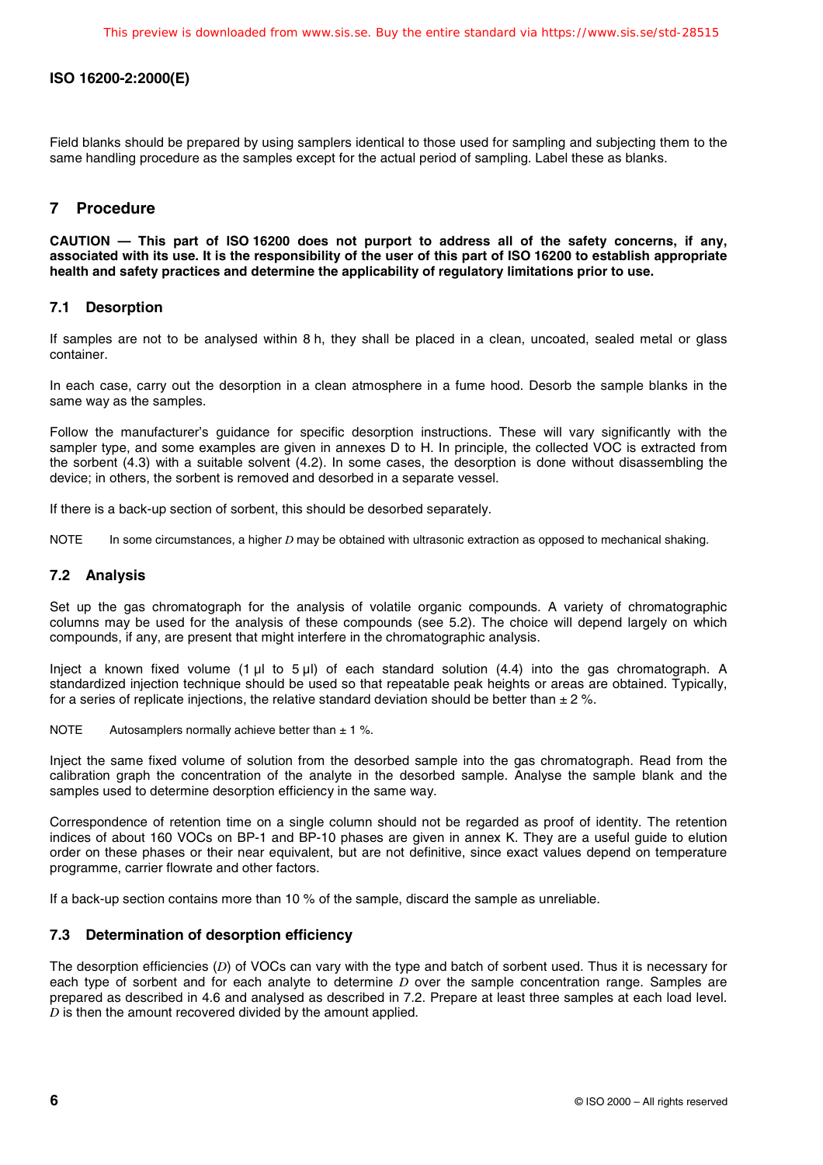Field blanks should be prepared by using samplers identical to those used for sampling and subjecting them to the same handling procedure as the samples except for the actual period of sampling. Label these as blanks.

## **7 Procedure**

**CAUTION — This part of ISO 16200 does not purport to address all of the safety concerns, if any, associated with its use. It is the responsibility of the user of this part of ISO 16200 to establish appropriate health and safety practices and determine the applicability of regulatory limitations prior to use.**

## **7.1 Desorption**

If samples are not to be analysed within 8 h, they shall be placed in a clean, uncoated, sealed metal or glass container.

In each case, carry out the desorption in a clean atmosphere in a fume hood. Desorb the sample blanks in the same way as the samples.

Follow the manufacturer's guidance for specific desorption instructions. These will vary significantly with the sampler type, and some examples are given in annexes D to H. In principle, the collected VOC is extracted from the sorbent (4.3) with a suitable solvent (4.2). In some cases, the desorption is done without disassembling the device; in others, the sorbent is removed and desorbed in a separate vessel.

If there is a back-up section of sorbent, this should be desorbed separately.

NOTE In some circumstances, a higher *D* may be obtained with ultrasonic extraction as opposed to mechanical shaking.

## **7.2 Analysis**

Set up the gas chromatograph for the analysis of volatile organic compounds. A variety of chromatographic columns may be used for the analysis of these compounds (see 5.2). The choice will depend largely on which compounds, if any, are present that might interfere in the chromatographic analysis.

Inject a known fixed volume (1  $\mu$ l to 5  $\mu$ ) of each standard solution (4.4) into the gas chromatograph. A standardized injection technique should be used so that repeatable peak heights or areas are obtained. Typically, for a series of replicate injections, the relative standard deviation should be better than  $\pm 2$  %.

NOTE Autosamplers normally achieve better than  $\pm$  1 %.

Inject the same fixed volume of solution from the desorbed sample into the gas chromatograph. Read from the calibration graph the concentration of the analyte in the desorbed sample. Analyse the sample blank and the samples used to determine desorption efficiency in the same way.

Correspondence of retention time on a single column should not be regarded as proof of identity. The retention indices of about 160 VOCs on BP-1 and BP-10 phases are given in annex K. They are a useful guide to elution order on these phases or their near equivalent, but are not definitive, since exact values depend on temperature programme, carrier flowrate and other factors.

If a back-up section contains more than 10 % of the sample, discard the sample as unreliable.

#### **7.3 Determination of desorption efficiency**

The desorption efficiencies (*D*) of VOCs can vary with the type and batch of sorbent used. Thus it is necessary for each type of sorbent and for each analyte to determine *D* over the sample concentration range. Samples are prepared as described in 4.6 and analysed as described in 7.2. Prepare at least three samples at each load level. *D* is then the amount recovered divided by the amount applied.